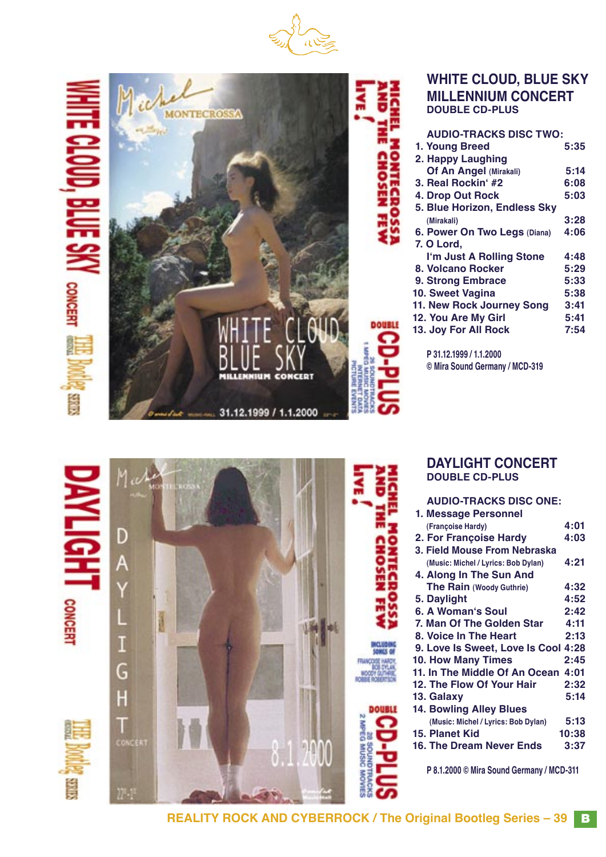





## **DAYLIGHT CONCERT DOUBLE CD-PLUS**

| <b>AUDIO-TRACKS DISC ONE:</b>             |       |
|-------------------------------------------|-------|
| 1. Message Personnel                      |       |
| (Françoise Hardy)                         | 4:01  |
| 2. For Françoise Hardy                    | 4:03  |
| 3. Field Mouse From Nebraska              |       |
| (Music: Michel / Lyrics: Bob Dylan)       | 4:21  |
| 4. Along In The Sun And                   |       |
| The Rain (Woody Guthrie)                  | 4:32  |
| 5. Daylight                               | 4:52  |
| 6. A Woman's Soul                         | 2:42  |
| 7. Man Of The Golden Star                 | 4:11  |
| 8. Voice In The Heart                     | 2:13  |
| 9. Love Is Sweet, Love Is Cool 4:28       |       |
| <b>10. How Many Times</b>                 | 2:45  |
| 11. In The Middle Of An Ocean 4:01        |       |
| 12. The Flow Of Your Hair                 | 2:32  |
| 13. Galaxy                                | 5:14  |
| <b>14. Bowling Alley Blues</b>            |       |
| (Music: Michel / Lyrics: Bob Dylan)       | 5:13  |
| 15. Planet Kid                            | 10:38 |
| <b>16. The Dream Never Ends</b>           | 3:37  |
|                                           |       |
| P 8.1.2000 © Mira Sound Germany / MCD-311 |       |

**REALITY ROCK AND CYBERROCK / The Original Bootleg Series – 39**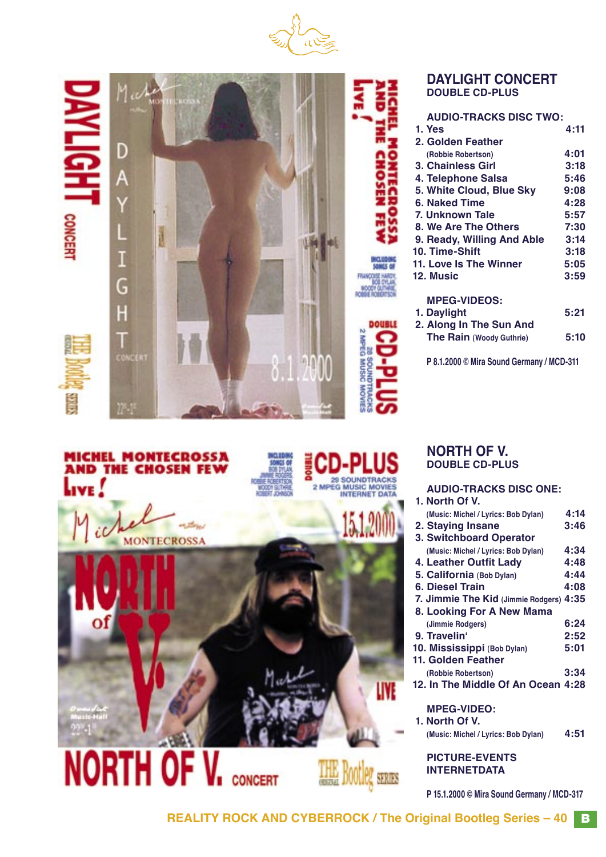



# **MICHEL MONTECROSSA<br>AND THE CHOSEN FEW** Live !





CONCERT

# **DOUBLE CD-PLUS**

| <b>AUDIO-TRACKS DISC ONE:</b>           |      |
|-----------------------------------------|------|
| 1. North Of V.                          |      |
| (Music: Michel / Lyrics: Bob Dylan)     | 4:14 |
| 2. Staying Insane                       | 3:46 |
| <b>3. Switchboard Operator</b>          |      |
| (Music: Michel / Lyrics: Bob Dylan)     | 4:34 |
| 4. Leather Outfit Lady                  | 4:48 |
| 5. California (Bob Dylan)               | 4:44 |
| 6. Diesel Train                         | 4:08 |
| 7. Jimmie The Kid (Jimmie Rodgers) 4:35 |      |
| 8. Looking For A New Mama               |      |
| (Jimmie Rodgers)                        | 6:24 |
| 9. Travelin'                            | 2:52 |
| 10. Mississippi (Bob Dylan)             | 5:01 |
| 11. Golden Feather                      |      |
| (Robbie Robertson)                      | 3:34 |
| 12. In The Middle Of An Ocean 4:28      |      |
|                                         |      |
| <b>MPEG-VIDEO:</b>                      |      |
| 1. North Of V.                          |      |
| (Music: Michel / Lyrics: Bob Dylan)     | 4:51 |
| <b>PICTURE-EVENTS</b>                   |      |
| <b>INTERNETDATA</b>                     |      |

**P 15.1.2000 © Mira Sound Germany / MCD-317**

29 SOUNDTRACKS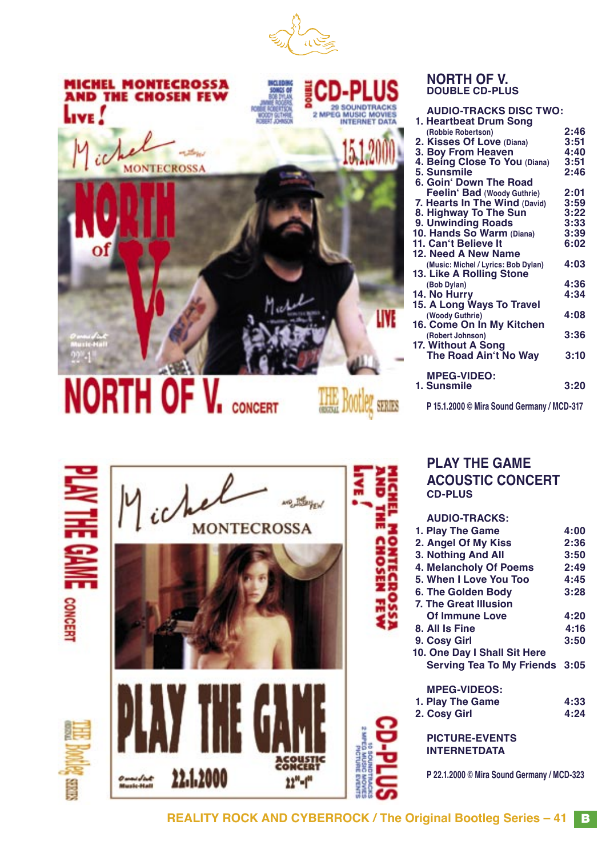



## **NORTH OF V. DOUBLE CD-PLUS**

| <b>AUDIO-TRACKS DISC TWO:</b><br>1. Heartbeat Drum Song |      |
|---------------------------------------------------------|------|
| (Robbie Robertson)                                      | 2:46 |
| 2. Kisses Of Love (Diana)                               | 3:51 |
| 3. Boy From Heaven                                      | 4:40 |
| 4. Being Close To You (Diana)                           | 3:51 |
| 5. Sunsmile                                             | 2:46 |
| 6. Goin' Down The Road                                  |      |
| Feelin' Bad (Woody Guthrie)                             | 2:01 |
| 7. Hearts In The Wind (David)                           | 3:59 |
| 8. Highway To The Sun                                   | 3:22 |
| 9. Unwinding Roads                                      | 3:33 |
| 10. Hands So Warm (Diana)                               | 3:39 |
| 11. Can't Believe It                                    | 6:02 |
| 12. Need A New Name                                     |      |
| (Music: Michel / Lyrics: Bob Dylan)                     | 4:03 |
| 13. Like A Rolling Stone                                |      |
| (Bob Dylan)                                             | 4:36 |
| 14. No Hurry                                            | 4:34 |
| 15. A Long Ways To Travel                               |      |
| (Woody Guthrie)                                         | 4:08 |
| 16. Come On In My Kitchen                               |      |
| (Robert Johnson)                                        | 3:36 |
| 17. Without A Song                                      |      |
| The Road Ain't No Way                                   | 3:10 |
|                                                         |      |
| <b>MPEG-VIDEO:</b>                                      |      |
| 1. Sunsmile                                             | 3:20 |
| P 15.1.2000 © Mira Sound Germany / MCD-317              |      |

# **PLAY THE GAME ACOUSTIC CONCERT CD-PLUS**

| <b>AUDIO-TRACKS:</b>             |      |
|----------------------------------|------|
| 1. Play The Game                 | 4:00 |
| 2. Angel Of My Kiss              | 2:36 |
| 3. Nothing And All               | 3:50 |
| 4. Melancholy Of Poems           | 2:49 |
| 5. When I Love You Too           | 4:45 |
| 6. The Golden Body               | 3:28 |
| <b>7. The Great Illusion</b>     |      |
| <b>Of Immune Love</b>            | 4:20 |
| 8. All Is Fine                   | 4:16 |
| 9. Cosy Girl                     | 3:50 |
| 10. One Day I Shall Sit Here     |      |
| <b>Serving Tea To My Friends</b> | 3:05 |
| <b>MPEG-VIDEOS:</b>              |      |
| 1. Play The Game                 | 4:33 |
| 2. Cosy Girl                     | 4:24 |
| <b>PICTURE-EVENTS</b>            |      |
| <b>INTERNETDATA</b>              |      |
|                                  |      |

**P 22.1.2000 © Mira Sound Germany / MCD-323**

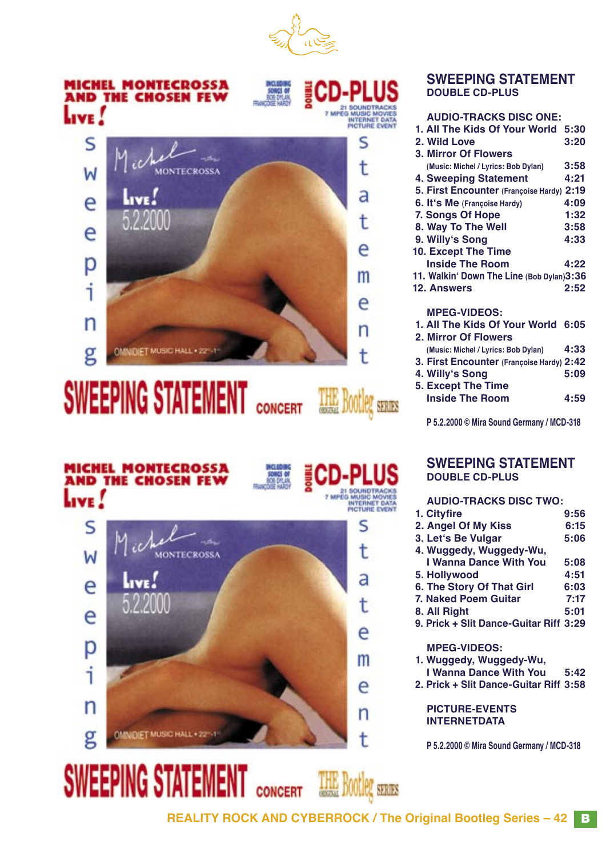



# **SWEEPING STATEMENT** CONCERT

**SWEEPING STATEMEN** 

|  | <b>TELLET - SERIES</b> |  |
|--|------------------------|--|



## **SWEEPING STATEMENT DOUBLE CD-PLUS**

# **AUDIO-TRACKS DISC ONE:**

| 1. All The Kids Of Your World 5:30        |      |
|-------------------------------------------|------|
| 2. Wild Love                              | 3:20 |
| <b>3. Mirror Of Flowers</b>               |      |
| (Music: Michel / Lyrics: Bob Dylan)       | 3:58 |
| <b>4. Sweeping Statement</b>              | 4:21 |
| 5. First Encounter (Françoise Hardy) 2:19 |      |
| 6. It's Me (Françoise Hardy)              | 4:09 |
| 7. Songs Of Hope                          | 1:32 |
| 8. Way To The Well                        | 3:58 |
| 9. Willy's Song                           | 4:33 |
| 10. Except The Time                       |      |
| <b>Inside The Room</b>                    | 4:22 |
| 11. Walkin' Down The Line (Bob Dylan)3:36 |      |
| <b>12. Answers</b>                        | 2:52 |
| <b>MPEG-VIDEOS:</b>                       |      |
| 1. All The Kids Of Your World 6:05        |      |
| 2. Mirror Of Flowers                      |      |
| (Music: Michel / Lyrics: Bob Dylan)       | 4:33 |
| 3. First Encounter (Françoise Hardy) 2:42 |      |
| 4. Willy's Song                           | 5:09 |
| 5. Except The Time                        |      |
| <b>Inside The Room</b>                    | 4:59 |
|                                           |      |

**P 5.2.2000 © Mira Sound Germany / MCD-318**

#### **SWEEPING STATEMENT DOUBLE CD-PLUS**

# **AUDIO-TRACKS DISC TWO:**

| 1. Cityfire                            | 9:56 |
|----------------------------------------|------|
| 2. Angel Of My Kiss                    | 6:15 |
| 3. Let's Be Vulgar                     | 5:06 |
| 4. Wuggedy, Wuggedy-Wu,                |      |
| I Wanna Dance With You                 | 5:08 |
| 5. Hollywood                           | 4:51 |
| 6. The Story Of That Girl              | 6:03 |
| 7. Naked Poem Guitar                   | 7:17 |
| 8. All Right                           | 5:01 |
| 9. Prick + Slit Dance-Guitar Riff 3:29 |      |
| <b>MPEG-VIDEOS:</b>                    |      |
| 1. Wuggedy, Wuggedy-Wu,                |      |
| I Wanna Dance With You                 | 5:42 |
| 2. Prick + Slit Dance-Guitar Riff 3:58 |      |
|                                        |      |

**PICTURE-EVENTS INTERNETDATA**

**P 5.2.2000 © Mira Sound Germany / MCD-318**

**REALITY ROCK AND CYBERROCK / The Original Bootleg Series – 42** B

THE BOOTIER SERIES

**CONCERT**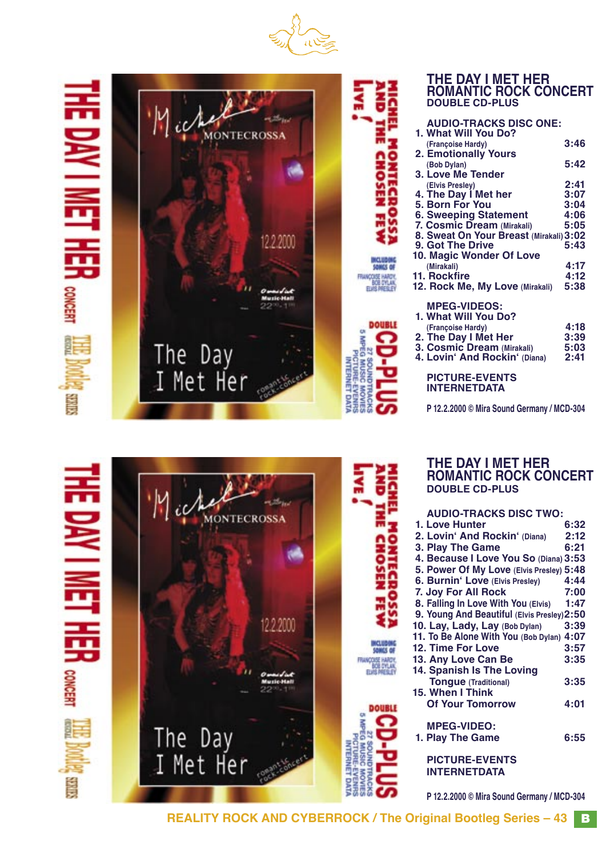

**E CHOSEN FEW** 

Š

# 롞 三馬马 **CONCERT SHIRS**

Ö

**RNET** 

**CONCERT** 

**SIMES** 



|                           | <b>ROMANTIC ROCK CONCERT</b><br><b>DOUBLE CD-PLUS</b>           |              |
|---------------------------|-----------------------------------------------------------------|--------------|
| <b>IICHEL MONTECROSSA</b> | <b>AUDIO-TRACKS DISC ONE:</b><br>1. What Will You Do?           |              |
|                           | (Francoise Hardy)                                               | 3:46         |
|                           | <b>2. Emotionally Yours</b><br>(Bob Dylan)<br>3. Love Me Tender | 5:42         |
|                           | (Elvis Presley)<br>4. The Day I Met her                         | 2:41<br>3:07 |
|                           | 5. Born For You                                                 | 3:04         |
|                           | <b>6. Sweeping Statement</b><br>7. Cosmic Dream (Mirakali)      | 4:06<br>5:05 |
|                           | 8. Sweat On Your Breast (Mirakali) 3:02<br>9. Got The Drive     | 5:43         |
|                           | 10. Magic Wonder Of Love<br>(Mirakali)                          | 4:17         |
|                           | 11. Rockfire<br>12. Rock Me, My Love (Mirakali)                 | 4:12<br>5:38 |
|                           | <b>MPEG-VIDEOS:</b><br>1. What Will You Do?                     |              |
|                           | (Françoise Hardy)                                               | 4:18         |
|                           | 2. The Day I Met Her<br>3. Cosmic Dream (Mirakali)              | 3:39<br>5:03 |
|                           | 4. Lovin' And Rockin' (Diana)                                   | 2:41         |
|                           | <b>PICTURE-EVENTS</b><br><b>INTERNETDATA</b>                    |              |
|                           | P 12.2.2000 © Mira Sound Germany / MCD-304                      |              |

**THE DAY I MET HER**

# **MONTECROSSA** 12,2,2000 ÿ sants of TRANÇOISE HARDY<br>BOB DYLAN<br>ELIS PRESCE **15. When I Think** The Day<br>I Met Her **MPEG-VIDEO: FG MUSIC INTERNET DATA PICTURE-EVENTS NOW INTERNETDATA**

**THE DAY I MET HER ROMANTIC ROCK CONCERT DOUBLE CD-PLUS**

| <b>AUDIO-TRACKS DISC TWO:</b>               |      |
|---------------------------------------------|------|
| 1. Love Hunter                              | 6:32 |
| 2. Lovin' And Rockin' (Diana)               | 2:12 |
| 3. Play The Game                            | 6:21 |
| 4. Because I Love You So (Diana) 3:53       |      |
| 5. Power Of My Love (Elvis Presley) 5:48    |      |
| 6. Burnin' Love (Elvis Presley)             | 4:44 |
| 7. Joy For All Rock                         | 7:00 |
| 8. Falling In Love With You (Elvis)         | 1:47 |
| 9. Young And Beautiful (Elvis Presley) 2:50 |      |
| 10. Lay, Lady, Lay (Bob Dylan)              | 3:39 |
| 11. To Be Alone With You (Bob Dylan) 4:07   |      |
| 12. Time For Love                           | 3:57 |
| 13. Any Love Can Be                         | 3:35 |
| 14. Spanish Is The Loving                   |      |
| <b>Tongue (Traditional)</b>                 | 3:35 |
| 15. When I Think                            |      |
| <b>Of Your Tomorrow</b>                     | 4:01 |
|                                             |      |
| <b>MPEG-VIDEO:</b>                          |      |
| 1. Play The Game                            | 6:55 |
|                                             |      |

**P 12.2.2000 © Mira Sound Germany / MCD-304**

**REALITY ROCK AND CYBERROCK / The Original Bootleg Series – 43** B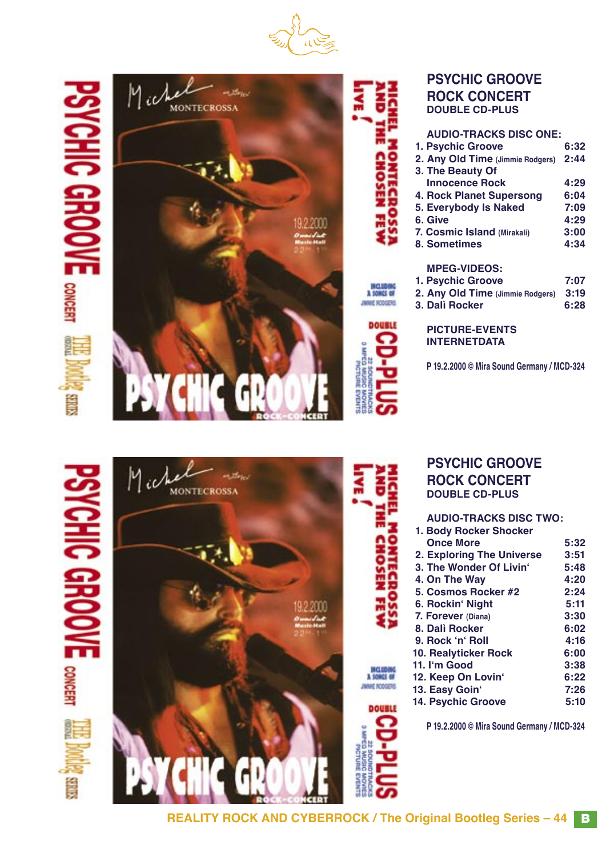





# **PSYCHIC GROOVE ROCK CONCERT DOUBLE CD-PLUS**

| <b>AUDIO-TRACKS DISC ONE:</b>    |      |
|----------------------------------|------|
| 1. Psychic Groove                | 6:32 |
| 2. Any Old Time (Jimmie Rodgers) | 2:44 |
| 3. The Beauty Of                 |      |
| <b>Innocence Rock</b>            | 4:29 |
| 4. Rock Planet Supersong         | 6:04 |
| 5. Everybody Is Naked            | 7:09 |
| 6. Give                          | 4:29 |
| 7. Cosmic Island (Mirakali)      | 3:00 |
| 8. Sometimes                     | 4:34 |
| <b>MPEG-VIDEOS:</b>              |      |
| 1. Psychic Groove                | 7:07 |
| 2. Any Old Time (Jimmie Rodgers) | 3:19 |
| 3. Dalì Rocker                   | 6:28 |
|                                  |      |



**PSYCHIC GROOVE ROCK CONCERT DOUBLE CD-PLUS**

**AUDIO-TRACKS DISC TWO:**

**Once More** 5:32<br> **Exploring The Universe** 3:51  **2. Exploring The Universe 3:51 3. The Wonder Of Livinʻ 5:48 4. On The Way 4:20 5. Cosmos Rocker #2 2:24 6. Rockinʻ Night 5:11 7. Forever (Diana) 3:30 8. Dalì Rocker 6:02 9. Rock ʻnʻ Roll 4:16 10. Realyticker Rock 6:00 11. Iʻm Good 3:38 12. Keep On Lovinʻ 6:22 13. Easy Goinʻ 7:26**

 **1. Body Rocker Shocker**

**P 19.2.2000 © Mira Sound Germany / MCD-324**





| ٠ |   |
|---|---|
|   |   |
| ۰ |   |
| ٠ |   |
|   |   |
|   |   |
|   |   |
|   |   |
|   | ۰ |
|   |   |
|   |   |

**MICLUDING**<br>A SOMGS OF JAME RODGERS

**DOUBLE** 



# **P 19.2.2000 © Mira Sound Germany / MCD-324**

**14. Psychic Groove**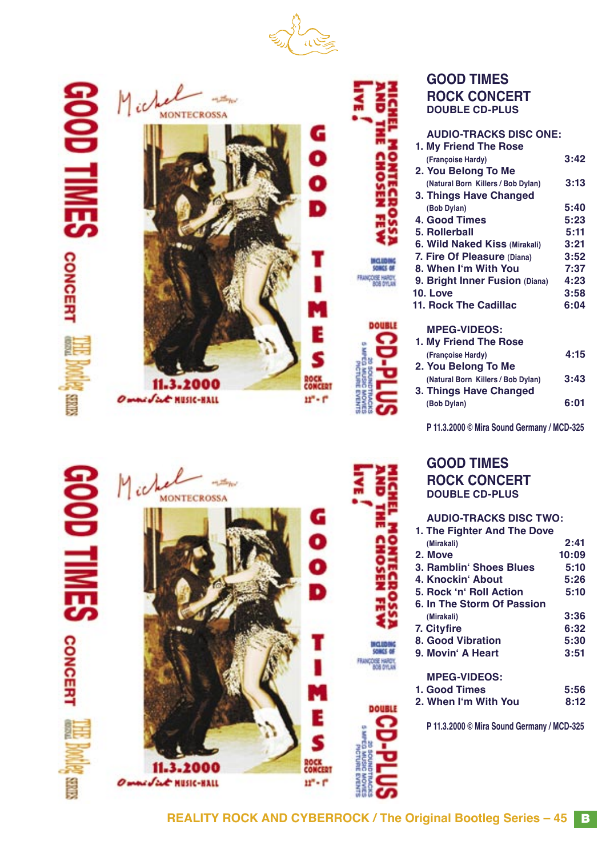



NIL QOO!

一

**CONCERT** 

**SINES** 





| <b>GOOD TIMES</b>     |
|-----------------------|
| <b>ROCK CONCERT</b>   |
| <b>DOUBLE CD-PLUS</b> |

| <b>AUDIO-TRACKS DISC ONE:</b>        |      |
|--------------------------------------|------|
| 1. My Friend The Rose                |      |
| (Françoise Hardy)                    | 3:42 |
| 2. You Belong To Me                  |      |
| (Natural Born Killers / Bob Dylan)   | 3:13 |
| 3. Things Have Changed               |      |
| (Bob Dylan)                          | 5:40 |
| 4. Good Times                        | 5:23 |
| 5. Rollerball                        | 5:11 |
| <b>6. Wild Naked Kiss (Mirakali)</b> | 3:21 |
| 7. Fire Of Pleasure (Diana)          | 3:52 |
| 8. When I'm With You                 | 7:37 |
| 9. Bright Inner Fusion (Diana)       | 4:23 |
| <b>10. Love</b>                      | 3:58 |
| 11. Rock The Cadillac                | 6:04 |
|                                      |      |
| <b>MPEG-VIDEOS:</b>                  |      |
| 1. My Friend The Rose                |      |
| (Françoise Hardy)                    | 4:15 |
| 2. You Belong To Me                  |      |
| (Natural Born Killers / Bob Dylan)   | 3:43 |

**P 11.3.2000 © Mira Sound Germany / MCD-325**

 **(Bob Dylan) 6:01**

# **GOOD TIMES ROCK CONCERT DOUBLE CD-PLUS**

 **3. Things Have Changed**

# **AUDIO-TRACKS DISC TWO:**

| 1. The Fighter And The Dove |       |
|-----------------------------|-------|
| (Mirakali)                  | 2:41  |
| 2. Move                     | 10:09 |
| 3. Ramblin' Shoes Blues     | 5:10  |
| 4. Knockin' About           | 5:26  |
| 5. Rock 'n' Roll Action     | 5:10  |
| 6. In The Storm Of Passion  |       |
| (Mirakali)                  | 3:36  |
| 7. Cityfire                 | 6:32  |
| 8. Good Vibration           | 5:30  |
| 9. Movin' A Heart           | 3:51  |
| <b>MPEG-VIDEOS:</b>         |       |
| 1. Good Times               | 5:56  |
| 2. When I'm With You        | 8:12  |
|                             |       |

**P 11.3.2000 © Mira Sound Germany / MCD-325**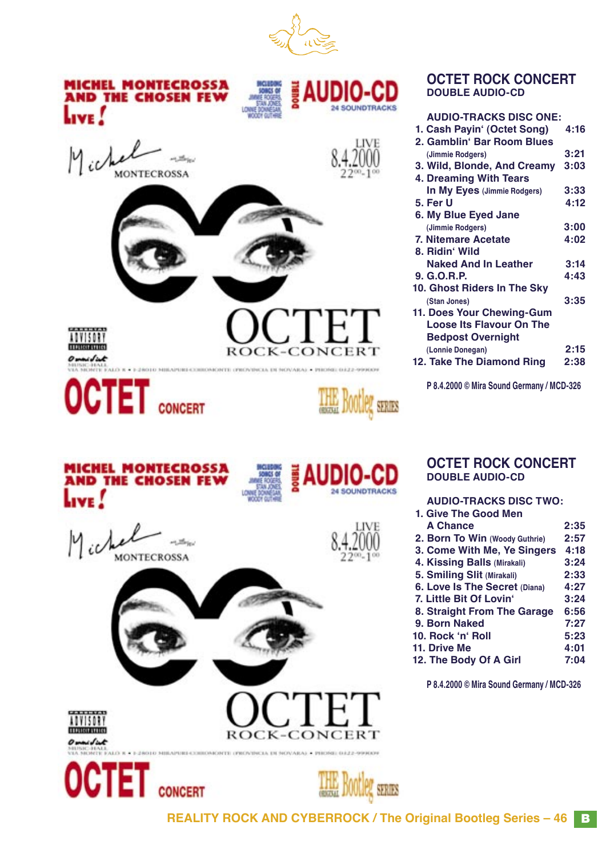



#### **OCTET ROCK CONCERT DOUBLE AUDIO-CD**

| <b>AUDIO-TRACKS DISC ONE:</b>   |      |
|---------------------------------|------|
| 1. Cash Payin' (Octet Song)     | 4:16 |
| 2. Gamblin' Bar Room Blues      |      |
| (Jimmie Rodgers)                | 3:21 |
| 3. Wild, Blonde, And Creamy     | 3:03 |
| 4. Dreaming With Tears          |      |
| In My Eyes (Jimmie Rodgers)     | 3:33 |
| 5. Fer U                        | 4:12 |
| 6. My Blue Eyed Jane            |      |
| (Jimmie Rodgers)                | 3:00 |
| 7. Nitemare Acetate             | 4:02 |
| 8. Ridin' Wild                  |      |
| <b>Naked And In Leather</b>     | 3:14 |
| 9. G. O. R.P.                   | 4:43 |
| 10. Ghost Riders In The Sky     |      |
| (Stan Jones)                    | 3:35 |
| 11. Does Your Chewing-Gum       |      |
| <b>Loose Its Flavour On The</b> |      |
| <b>Bedpost Overnight</b>        |      |
| (Lonnie Donegan)                | 2:15 |
| 12. Take The Diamond Ring       | 2:38 |
|                                 |      |

**P 8.4.2000 © Mira Sound Germany / MCD-326**

**OCTET ROCK CONCERT**

**AUDIO-TRACKS DISC TWO:**

**A Chance 2:35 2. Born To Win (Woody Guthrie) 2:57 3. Come With Me, Ye Singers 4:18 4. Kissing Balls (Mirakali) 3:24 5. Smiling Slit (Mirakali) 2:33**

 **7. Little Bit Of Lovinʻ 3:24 8. Straight From The Garage 6:56 9. Born Naked 7:27**

**11. Drive Me 4:01 12. The Body Of A Girl 7:04**

**P 8.4.2000 © Mira Sound Germany / MCD-326**

**DOUBLE AUDIO-CD**

 **1. Give The Good Men**

**6. Love Is The Secret (Diana)** 

**10. Rock ʻnʻ Roll 5:23**

**REALITY ROCK AND CYBERROCK / The Original Bootleg Series – 46** B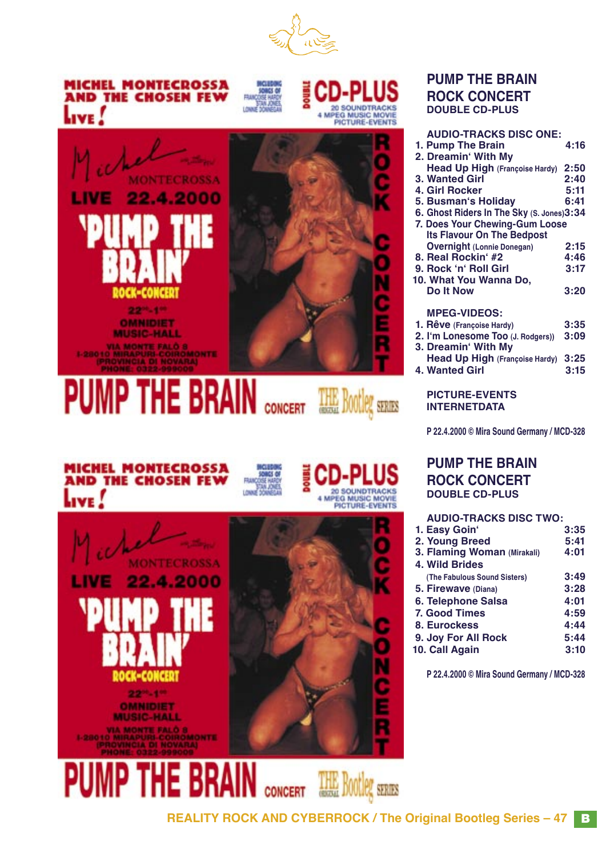

# **MICHEL MONTECROSSA AND THE CHOSEN FEW** LIVE.







# **PUMP THE BRAIN ROCK CONCERT DOUBLE CD-PLUS**

| <b>AUDIO-TRACKS DISC ONE:</b>             |      |
|-------------------------------------------|------|
| 1. Pump The Brain                         | 4:16 |
| 2. Dreamin' With My                       |      |
| <b>Head Up High (Françoise Hardy)</b>     | 2:50 |
| 3. Wanted Girl                            | 2:40 |
| 4. Girl Rocker                            | 5:11 |
| 5. Busman's Holiday                       | 6:41 |
| 6. Ghost Riders In The Sky (S. Jones)3:34 |      |
| 7. Does Your Chewing-Gum Loose            |      |
| <b>Its Flavour On The Bedpost</b>         |      |
| <b>Overnight (Lonnie Donegan)</b>         | 2:15 |
| 8. Real Rockin' #2                        | 4:46 |
| 9. Rock 'n' Roll Girl                     | 3:17 |
| 10. What You Wanna Do,                    |      |
| Do It Now                                 | 3:20 |
|                                           |      |
| <b>MPEG-VIDEOS:</b>                       |      |
| 1. Rêve (Françoise Hardy)                 | 3:35 |
| 2. I'm Lonesome Too (J. Rodgers))         | 3:09 |
| 3. Dreamin' With My                       |      |
| Head Up High (Françoise Hardy)            | 3:25 |
| <b>4. Wanted Girl</b>                     | 3:15 |
|                                           |      |
| <b>PICTURE-EVENTS</b>                     |      |

**PICTURE-EVENTS INTERNETDATA**

**P 22.4.2000 © Mira Sound Germany / MCD-328**

# **PUMP THE BRAIN ROCK CONCERT DOUBLE CD-PLUS**

#### **AUDIO-TRACKS DISC TWO: 1. Easy Goinʻ 3:35 2. Young Breed 5:41 3. Flaming Woman (Mirakali) 4:01 4. Wild Brides (The Fabulous Sound Sisters) 3:49 5. Firewave (Diana) 3:28 6. Telephone Salsa 4:01 7. Good Times 4:59 8. Eurockess 4:44 9. Joy For All Rock 5:44 10. Call Again**

**P 22.4.2000 © Mira Sound Germany / MCD-328**

| <b>MICHEL MONTECROSSA</b> |  |  |
|---------------------------|--|--|
| AND THE CHOSEN FEW        |  |  |
| $L_{\text{IVE}}$          |  |  |
|                           |  |  |



**CONCERT** 





THE Bootleg SERIES

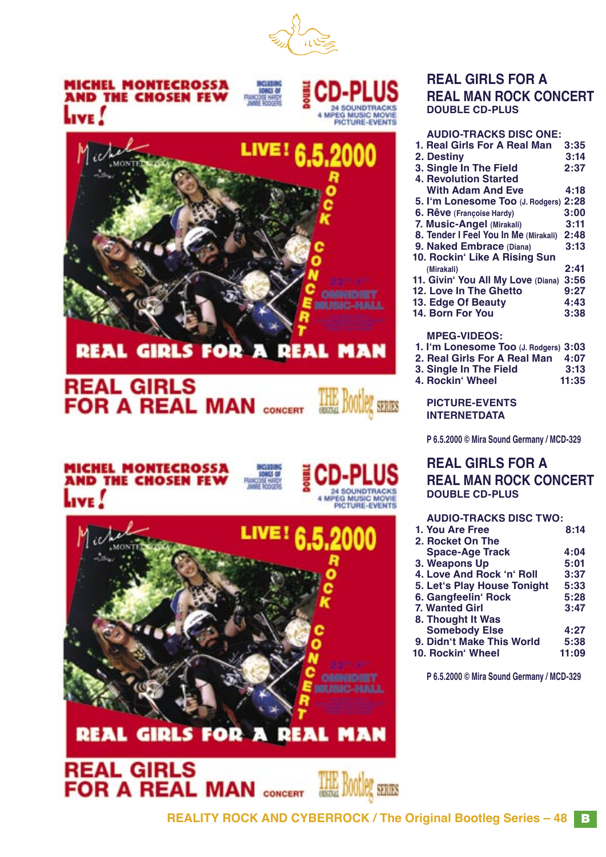



# **REAL GIRLS FOR A REAL MAN**

# **REAL GIRLS FOR A REAL MAN CONCERT**

**MICHEL MONTECROSSA AND THE CHOSEN FEV** 





**REAL GIRLS** 

**FOR A REAL MAN CONCERT** 





# **REAL GIRLS FOR A REAL MAN ROCK CONCERT DOUBLE CD-PLUS**

| <b>AUDIO-TRACKS DISC ONE:</b>                                                                                                                                                                                                                                                                                     |      |
|-------------------------------------------------------------------------------------------------------------------------------------------------------------------------------------------------------------------------------------------------------------------------------------------------------------------|------|
| 1. Real Girls For A Real Man                                                                                                                                                                                                                                                                                      | 3:35 |
| <b>2. Destiny</b>                                                                                                                                                                                                                                                                                                 | 3:14 |
| 3. Single In The Field                                                                                                                                                                                                                                                                                            | 2:37 |
| <b>4. Revolution Started</b>                                                                                                                                                                                                                                                                                      |      |
| <b>With Adam And Eve</b>                                                                                                                                                                                                                                                                                          | 4:18 |
| 5. I'm Lonesome Too (J. Rodgers) 2:28                                                                                                                                                                                                                                                                             |      |
| 6. Rêve (Francoise Hardy)                                                                                                                                                                                                                                                                                         | 3:00 |
| 7. Music-Angel (Mirakali)                                                                                                                                                                                                                                                                                         | 3:11 |
| 8. Tender I Feel You In Me (Mirakali)                                                                                                                                                                                                                                                                             | 2:48 |
| 9. Naked Embrace (Diana)                                                                                                                                                                                                                                                                                          | 3:13 |
| 10. Rockin' Like A Rising Sun                                                                                                                                                                                                                                                                                     |      |
| (Mirakali)                                                                                                                                                                                                                                                                                                        | 2:41 |
| 11. Givin' You All My Love (Diana) 3:56                                                                                                                                                                                                                                                                           |      |
| 12. Love In The Ghetto                                                                                                                                                                                                                                                                                            | 9:27 |
| 13. Edge Of Beauty                                                                                                                                                                                                                                                                                                | 4:43 |
| 14. Born For You                                                                                                                                                                                                                                                                                                  | 3:38 |
|                                                                                                                                                                                                                                                                                                                   |      |
| <b>MPEG-VIDEOS:</b>                                                                                                                                                                                                                                                                                               |      |
| 1. I'm Lonesome Too (J. Rodgers) 3:03                                                                                                                                                                                                                                                                             |      |
| $\mathcal{A}$ and $\mathcal{B}$ and $\mathcal{B}$ are $\mathcal{B}$ and $\mathcal{B}$ and $\mathcal{B}$ are $\mathcal{B}$ and $\mathcal{B}$ are $\mathcal{B}$ and $\mathcal{B}$ are $\mathcal{B}$ and $\mathcal{B}$ are $\mathcal{B}$ and $\mathcal{B}$ are $\mathcal{B}$ and $\mathcal{B}$ are $\mathcal{B}$ are |      |

- **2. Real Girls For A Real Man 4:07**
- **3. Single In The Field 3:13**
- **4. Rockin**<sup>*'*</sup> Wheel</sup>

#### **PICTURE-EVENTS INTERNETDATA**

**P 6.5.2000 © Mira Sound Germany / MCD-329**

# **REAL GIRLS FOR A REAL MAN ROCK CONCERT DOUBLE CD-PLUS**

# **AUDIO-TRACKS DISC TWO:**

| 1. You Are Free             | 8:14  |
|-----------------------------|-------|
| 2. Rocket On The            |       |
| <b>Space-Age Track</b>      | 4:04  |
| 3. Weapons Up               | 5:01  |
| 4. Love And Rock 'n' Roll   | 3:37  |
| 5. Let's Play House Tonight | 5:33  |
| 6. Gangfeelin' Rock         | 5:28  |
| 7. Wanted Girl              | 3:47  |
| 8. Thought It Was           |       |
| <b>Somebody Else</b>        | 4:27  |
| 9. Didn't Make This World   | 5:38  |
| 10. Rockin' Wheel           | 11:09 |
|                             |       |

**P 6.5.2000 © Mira Sound Germany / MCD-329**

**SOOTLE! SERIES**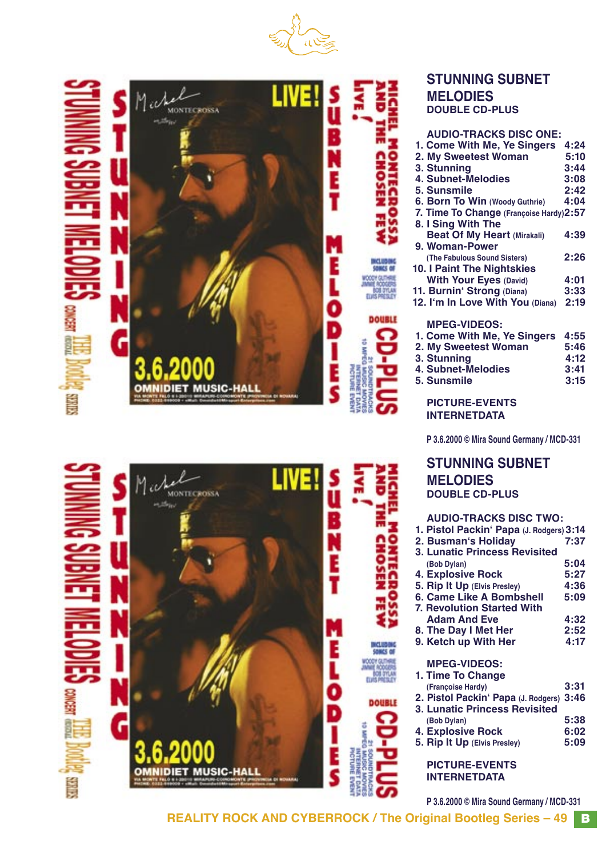





# **STUNNING SUBNET MELODIES DOUBLE CD-PLUS**

| <b>AUDIO-TRACKS DISC ONE:</b>            |      |
|------------------------------------------|------|
| 1. Come With Me, Ye Singers              | 4:24 |
| 2. My Sweetest Woman                     | 5:10 |
| 3. Stunning                              | 3:44 |
| 4. Subnet-Melodies                       | 3:08 |
| 5. Sunsmile                              | 2:42 |
| 6. Born To Win (Woody Guthrie)           | 4:04 |
| 7. Time To Change (Françoise Hardy) 2:57 |      |
| 8. I Sing With The                       |      |
| <b>Beat Of My Heart (Mirakali)</b>       | 4:39 |
| 9. Woman-Power                           |      |
| (The Fabulous Sound Sisters)             | 2:26 |
| <b>10. I Paint The Nightskies</b>        |      |
| <b>With Your Eyes (David)</b>            | 4:01 |
| 11. Burnin' Strong (Diana)               | 3:33 |
| 12. I'm In Love With You (Diana)         | 2:19 |
|                                          |      |
| <b>MPEG-VIDEOS:</b>                      |      |
| 1. Come With Me, Ye Singers              | 4:55 |
| 2. My Sweetest Woman                     | 5:46 |
| 3. Stunning                              | 4:12 |
| 4. Subnet-Melodies                       | 3:41 |
| 5. Sunsmile                              | 3:15 |
|                                          |      |
|                                          |      |

**PICTURE-EVENTS INTERNETDATA**

**P 3.6.2000 © Mira Sound Germany / MCD-331**

**STUNNING SUBNET MELODIES DOUBLE CD-PLUS**

# **AUDIO-TRACKS DISC TWO:**

| 1. Pistol Packin' Papa (J. Rodgers) 3:14 |      |
|------------------------------------------|------|
| 2. Busman's Holiday                      | 7:37 |
| <b>3. Lunatic Princess Revisited</b>     |      |
| (Bob Dylan)                              | 5:04 |
| <b>4. Explosive Rock</b>                 | 5:27 |
| 5. Rip It Up (Elvis Presley)             | 4:36 |
| <b>6. Came Like A Bombshell</b>          | 5:09 |
| <b>7. Revolution Started With</b>        |      |
| <b>Adam And Eve</b>                      | 4:32 |
| 8. The Day I Met Her                     | 2:52 |
| 9. Ketch up With Her                     | 4:17 |
| <b>MPEG-VIDEOS:</b>                      |      |
| 1. Time To Change                        |      |
| (Francoise Hardy)                        | 3:31 |
| 2. Pistol Packin' Papa (J. Rodgers) 3:46 |      |
| <b>3. Lunatic Princess Revisited</b>     |      |
| (Bob Dylan)                              | 5:38 |
| <b>4. Explosive Rock</b>                 | 6:02 |
| 5. Rip It Up (Elvis Presley)             | 5:09 |
|                                          |      |
|                                          |      |
| <b>PICTURE-EVENTS</b>                    |      |

**P 3.6.2000 © Mira Sound Germany / MCD-331**

**REALITY ROCK AND CYBERROCK / The Original Bootleg Series – 49** B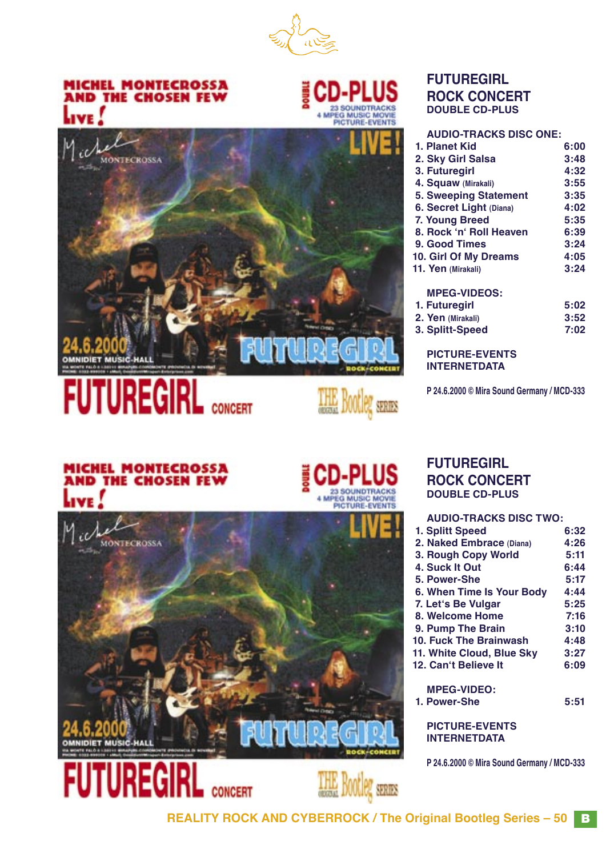

# **MICHEL MONTECROSSA AND THE CHOSEN FEW**



THE Bootleg seares



**CONCERT** 

# **FUTUREGIRL ROCK CONCERT DOUBLE CD-PLUS**

| <b>AUDIO-TRACKS DISC ONE:</b> |      |
|-------------------------------|------|
| 1. Planet Kid                 | 6:00 |
| 2. Sky Girl Salsa             | 3:48 |
| 3. Futuregirl                 | 4:32 |
| 4. Squaw (Mirakali)           | 3:55 |
| <b>5. Sweeping Statement</b>  | 3:35 |
| 6. Secret Light (Diana)       | 4:02 |
| 7. Young Breed                | 5:35 |
| 8. Rock 'n' Roll Heaven       | 6:39 |
| 9. Good Times                 | 3:24 |
| <b>10. Girl Of My Dreams</b>  | 4:05 |
| 11. Yen (Mirakali)            | 3:24 |
| <b>MPEG-VIDEOS:</b>           |      |

| MFEG-VIDEUS.     |      |
|------------------|------|
| 1. Futuregirl    | 5:02 |
| 2 Ven (Mirakali) | 3.52 |

 **2. Yen (Mirakali) 3:52 3. Splitt-Speed 7:02**

**PICTURE-EVENTS INTERNETDATA**

**P 24.6.2000 © Mira Sound Germany / MCD-333**

# **MICHEL MONTECROSSA<br>AND THE CHOSEN FEW**



**CONCERT** 

## **FUTUREGIRL ROCK CONCERT DOUBLE CD-PLUS**

# **AUDIO-TRACKS DISC TWO: 1. Splitt Speed 6:32 2. Naked Embrace (Diana) 4:26 3. Rough Copy World 5:11 4. Suck It Out 5. Power-She 5:17 6. When Time Is Your Body 4:44 7. Letʻs Be Vulgar 5:25 8. Welcome Home 7:16**<br> **9. Pump The Brain** 3:10  **9. Pump The Brain 3:10 10. Fuck The Brainwash 4:48 11. White Cloud, Blue Sky 3:27 12. Can't Believe It MPEG-VIDEO: 1. Power-She 5:51 PICTURE-EVENTS**

**INTERNETDATA**

**P 24.6.2000 © Mira Sound Germany / MCD-333**

**REALITY ROCK AND CYBERROCK / The Original Bootleg Series – 50** B

**Bootleg** seares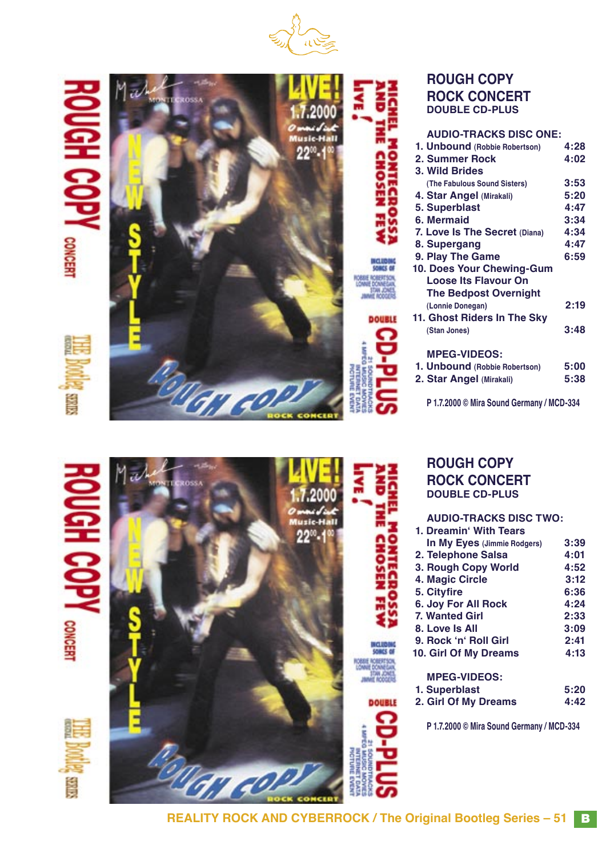

ੜ H COPY CONCERT



# **ROUGH COPY ROCK CONCERT DOUBLE CD-PLUS**

| <b>AUDIO-TRACKS DISC ONE:</b> |      |
|-------------------------------|------|
| 1. Unbound (Robbie Robertson) | 4:28 |
| 2. Summer Rock                | 4:02 |
| 3. Wild Brides                |      |
| (The Fabulous Sound Sisters)  | 3:53 |
| 4. Star Angel (Mirakali)      | 5:20 |
| 5. Superblast                 | 4:47 |
| 6. Mermaid                    | 3:34 |
| 7. Love Is The Secret (Diana) | 4:34 |
| 8. Supergang                  | 4:47 |
| 9. Play The Game              | 6:59 |
| 10. Does Your Chewing-Gum     |      |
| <b>Loose Its Flavour On</b>   |      |
| <b>The Bedpost Overnight</b>  |      |
| (Lonnie Donegan)              | 2:19 |
| 11. Ghost Riders In The Sky   |      |
| (Stan Jones)                  | 3:48 |
|                               |      |
| <b>MPEG-VIDEOS:</b>           |      |
| 1. Unbound (Robbie Robertson) | 5:00 |
| 2. Star Angel (Mirakali)      | 5:38 |
|                               |      |

**P 1.7.2000 © Mira Sound Germany / MCD-334**

# **GH COPY** CONFIRM

**Sallas** 

**SILLES** 



| <b>ROUGH COPY</b>     |
|-----------------------|
| <b>ROCK CONCERT</b>   |
| <b>DOUBLE CD-PLUS</b> |
|                       |

| <b>AUDIO-TRACKS DISC TWO:</b> |      |
|-------------------------------|------|
| 1. Dreamin' With Tears        |      |
| In My Eyes (Jimmie Rodgers)   | 3:39 |
| 2. Telephone Salsa            | 4:01 |
| 3. Rough Copy World           | 4:52 |
| 4. Magic Circle               | 3:12 |
| 5. Cityfire                   | 6:36 |
| 6. Joy For All Rock           | 4:24 |
| <b>7. Wanted Girl</b>         | 2:33 |
| 8. Love Is All                | 3:09 |
| 9. Rock 'n' Roll Girl         | 2:41 |
| 10. Girl Of My Dreams         | 4:13 |
| <b>MPEG-VIDEOS:</b>           |      |
| 1. Superblast                 | 5:20 |
| 2. Girl Of My Dreams          | 4:42 |

**P 1.7.2000 © Mira Sound Germany / MCD-334**

**REALITY ROCK AND CYBERROCK / The Original Bootleg Series – 51 B** 

7

**MCLUBING**<br>SONCE OF

**DOUBLE** 

**STOLES** 

**DOUBLE** 

7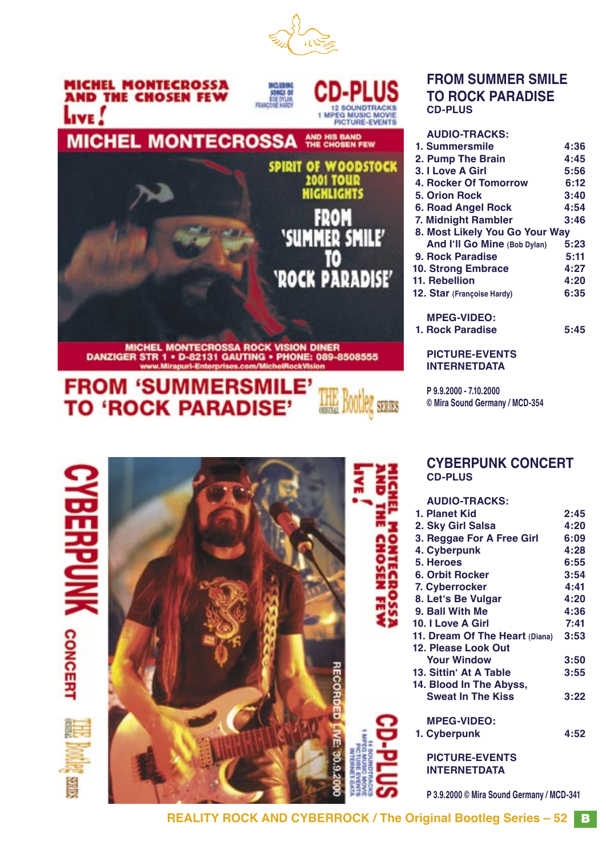



# MICHEL MONTECROSSA ROCK VISION DINER<br>DANZIGER STR 1 • D-82131 GAUTING • PHONE: 089-8508555<br>www.Mirapuri-Enterprises.com/MichelRockVision

# **FROM 'SUMMERSMILE' TO 'ROCK PARADISE'**



| <b>CYBERPUNK</b> |  |  | <b>CYBERPUNK CONCERT</b><br><b>CD-PLUS</b> |      |
|------------------|--|--|--------------------------------------------|------|
|                  |  |  | <b>AUDIO-TRACKS:</b>                       |      |
|                  |  |  | 1. Planet Kid                              | 2:45 |
|                  |  |  | 2. Sky Girl Salsa                          | 4:20 |
|                  |  |  | 3. Reggae For A Free Girl                  | 6:09 |
|                  |  |  | 4. Cyberpunk                               | 4:28 |
|                  |  |  | 5. Heroes                                  | 6:55 |
|                  |  |  | 6. Orbit Rocker                            | 3:54 |
|                  |  |  | 7. Cyberrocker                             | 4:41 |
|                  |  |  | 8. Let's Be Vulgar                         | 4:20 |
|                  |  |  | 9. Ball With Me                            | 4:36 |
|                  |  |  | 10. I Love A Girl                          | 7:41 |
| <b>CONCERT</b>   |  |  | 11. Dream Of The Heart (Diana)             | 3:53 |
|                  |  |  | 12. Please Look Out                        |      |
|                  |  |  | <b>Your Window</b>                         | 3:50 |
|                  |  |  | 13. Sittin' At A Table                     | 3:55 |
|                  |  |  | 14. Blood In The Abyss,                    |      |
|                  |  |  | <b>Sweat In The Kiss</b>                   | 3:22 |
|                  |  |  |                                            |      |
|                  |  |  | <b>MPEG-VIDEO:</b>                         |      |
|                  |  |  | 1. Cyberpunk                               | 4:52 |
|                  |  |  | <b>PICTURE-EVENTS</b>                      |      |
|                  |  |  | <b>INTERNETDATA</b>                        |      |
|                  |  |  |                                            |      |
| Ş                |  |  | P 3.9.2000 © Mira Sound Germany / MCD-341  |      |
|                  |  |  |                                            |      |

# **FROM SUMMER SMILE TO ROCK PARADISE CD-PLUS**

| <b>AUDIO-TRACKS:</b>           |      |
|--------------------------------|------|
| 1. Summersmile                 | 4:36 |
| 2. Pump The Brain              | 4:45 |
| 3. I Love A Girl               | 5:56 |
| 4. Rocker Of Tomorrow          | 6:12 |
| 5. Orion Rock                  | 3:40 |
| 6. Road Angel Rock             | 4:54 |
| 7. Midnight Rambler            | 3:46 |
| 8. Most Likely You Go Your Way |      |
| And I'll Go Mine (Bob Dylan)   | 5:23 |
| 9. Rock Paradise               | 5:11 |
| 10. Strong Embrace             | 4:27 |
| 11. Rebellion                  | 4:20 |
| 12. Star (Francoise Hardy)     | 6:35 |
| <b>MPEG-VIDEO:</b>             |      |
| 1. Rock Paradise               | 5:45 |
| <b>PICTURE-EVENTS</b>          |      |

**P 9.9.2000 - 7.10.2000 © Mira Sound Germany / MCD-354**

**INTERNETDATA**

**REALITY ROCK AND CYBERROCK / The Original Bootleg Series – 52** B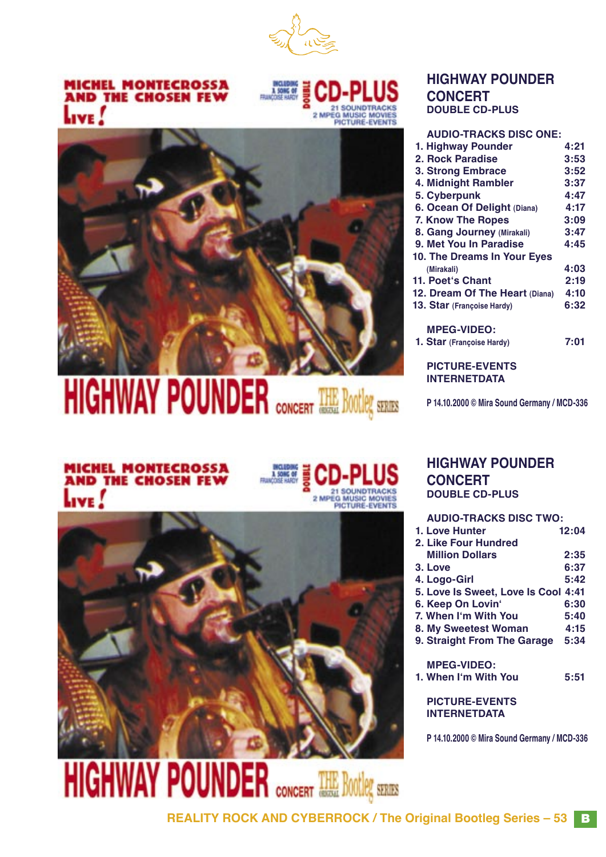

# **MICHEL MONTECROSSA<br>AND THE CHOSEN FEW** Live !



# **HIGHWAY POUNDER CONCERT DOUBLE CD-PLUS**

| A                 |
|-------------------|
| 1. Hi             |
|                   |
| 2. R<br>3. St     |
| 4. M              |
| 5. C              |
| 6. O              |
| <b>7. K</b>       |
| 8. G              |
| 9. M              |
| 10. T             |
| (M <sup>o</sup> ) |
| 11. P             |
| 12. D             |
| 13. S             |
|                   |
| M                 |
| 1. St             |
|                   |
| $\mathsf{P}$      |
|                   |

# **HIGHWAY POUNDER** CONCERT THE Bootleg STARS

# **AUDIO-TRACKS DISC ONE:**

| 1. Highway Pounder             | 4:21 |
|--------------------------------|------|
| 2. Rock Paradise               | 3:53 |
| 3. Strong Embrace              | 3:52 |
| 4. Midnight Rambler            | 3:37 |
| 5. Cyberpunk                   | 4:47 |
| 6. Ocean Of Delight (Diana)    | 4:17 |
| <b>7. Know The Ropes</b>       | 3:09 |
| 8. Gang Journey (Mirakali)     | 3:47 |
| 9. Met You In Paradise         | 4:45 |
| 10. The Dreams In Your Eyes    |      |
| (Mirakali)                     | 4:03 |
| 11. Poet's Chant               | 2:19 |
| 12. Dream Of The Heart (Diana) | 4:10 |
| 13. Star (Francoise Hardy)     | 6:32 |
| <b>MPEG-VIDEO:</b>             |      |
| 1. Star (Francoise Hardy)      | 7:01 |
|                                |      |
|                                |      |

**PICTURE-EVENTS INTERNETDATA**

**P 14.10.2000 © Mira Sound Germany / MCD-336**

# **MICHEL MONTECROSSA<br>AND THE CHOSEN FEW** Live !

# 2 MPEG MUSIC MOVIES<br>PICTURE-EVENTS



# **DOUBLE CD-PLUS AUDIO-TRACKS DISC TWO:**

**CONCERT**

**HIGHWAY POUNDER**

| 1. Love Hunter                      | 12.04 |
|-------------------------------------|-------|
| 2. Like Four Hundred                |       |
| <b>Million Dollars</b>              | 2:35  |
| 3. Love                             | 6:37  |
| 4. Logo-Girl                        | 5:42  |
| 5. Love Is Sweet, Love Is Cool 4:41 |       |
| 6. Keep On Lovin'                   | 6:30  |
| 7. When I'm With You                | 5:40  |
| 8. My Sweetest Woman                | 4:15  |
| 9. Straight From The Garage         | 5:34  |
| <b>MPEG-VIDEO:</b>                  |       |
| 1. When I'm With You                | 5:51  |
|                                     |       |

**PICTURE-EVENTS INTERNETDATA**

**P 14.10.2000 © Mira Sound Germany / MCD-336**

# CONCERT THE BOOTIER SERIES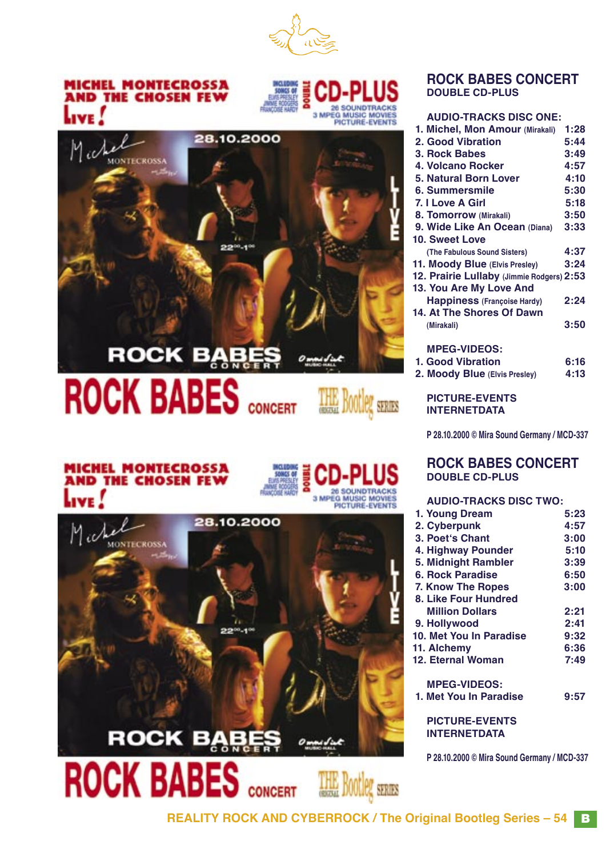

# MICHEL MONTECROSSA<br>AND THE CHOSEN FEW





# **ROCK BABES CONCERT**

THE Bootleg SERIES

# **MICHEL MONTECROSSA<br>AND THE CHOSEN FEW LIVE**





**CONCERT** 

# **ROCK BABES CONCERT DOUBLE CD-PLUS**

#### **AUDIO-TRACKS DISC ONE:**

| 1. Michel, Mon Amour (Mirakali)           | 1:28 |
|-------------------------------------------|------|
| 2. Good Vibration                         | 5:44 |
| 3. Rock Babes                             | 3:49 |
| 4. Volcano Rocker                         | 4:57 |
| 5. Natural Born Lover                     | 4:10 |
| 6. Summersmile                            | 5:30 |
| 7. I Love A Girl                          | 5:18 |
| 8. Tomorrow (Mirakali)                    | 3:50 |
| 9. Wide Like An Ocean (Diana)             | 3:33 |
| 10. Sweet Love                            |      |
| (The Fabulous Sound Sisters)              | 4:37 |
| 11. Moody Blue (Elvis Presley)            | 3:24 |
| 12. Prairie Lullaby (Jimmie Rodgers) 2:53 |      |
| 13. You Are My Love And                   |      |
| <b>Happiness (Françoise Hardy)</b>        | 2:24 |
| 14. At The Shores Of Dawn                 |      |
| (Mirakali)                                | 3:50 |
|                                           |      |
| <b>MPEG-VIDEOS:</b>                       |      |
| 1. Good Vibration                         | 6:16 |
| 2. Moody Blue (Elvis Presley)             | 4:13 |
|                                           |      |

#### **PICTURE-EVENTS INTERNETDATA**

**P 28.10.2000 © Mira Sound Germany / MCD-337**

# **ROCK BABES CONCERT DOUBLE CD-PLUS**

#### **AUDIO-TRACKS DISC TWO:**

| 1. Young Dream           | 5:23 |
|--------------------------|------|
| 2. Cyberpunk             | 4:57 |
| 3. Poet's Chant          | 3:00 |
| 4. Highway Pounder       | 5:10 |
| 5. Midnight Rambler      | 3:39 |
| <b>6. Rock Paradise</b>  | 6:50 |
| <b>7. Know The Ropes</b> | 3:00 |
| 8. Like Four Hundred     |      |
| <b>Million Dollars</b>   | 2:21 |
| 9. Hollywood             | 2:41 |
| 10. Met You In Paradise  | 9:32 |
| 11. Alchemy              | 6:36 |
| 12. Eternal Woman        | 7:49 |
| <b>MPEG-VIDEOS:</b>      |      |
| 1. Met You In Paradise   | 9:57 |
| <b>PICTURE-EVENTS</b>    |      |

**INTERNETDATA**

**P 28.10.2000 © Mira Sound Germany / MCD-337**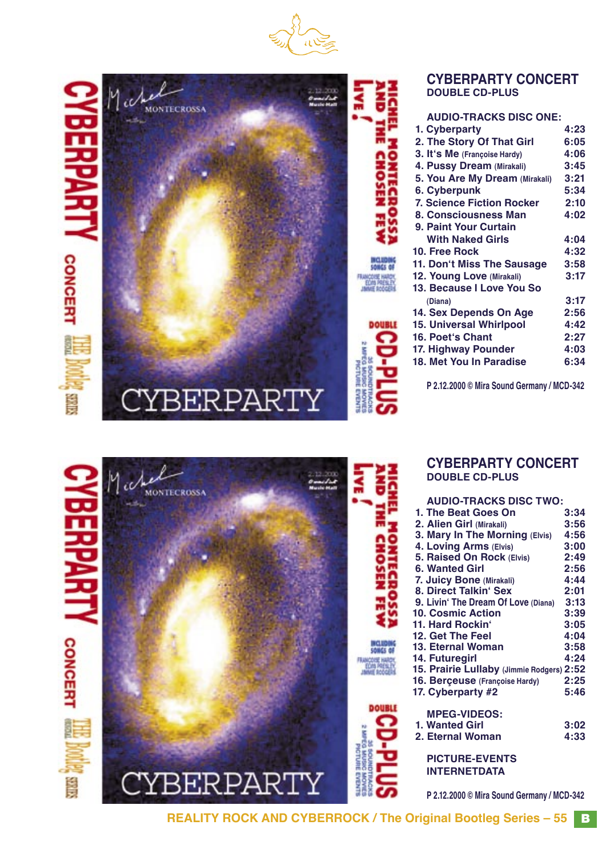





| <b>CYBERPARTY CONCERT</b> |
|---------------------------|
| <b>DOUBLE CD-PLUS</b>     |

#### **AUDIO-TRACKS DISC ONE: 1. Cyberparty 4:23 2. The Story Of That Girl 6:05**<br>**3. It's Me** (Francoise Hardy) 4:06  **3. It's Me** (Françoise Hardy) **4:06**<br>**4. Pussy Dream** (Mirakali) **3:45 4. Pussy Dream (Mirakali) 3:45 5. You Are My Dream (Mirakali) 3:21 6. Cyberpunk 7. Science Fiction Rocker 2:10 8. Consciousness Man 9. Paint Your Curtain** With Naked Girls **4:04**<br>Free Rock **4:32 10. Free Rock 4:32 11. Donʻt Miss The Sausage 3:58 12. Young Love (Mirakali) 13. Because I Love You So (Diana) 3:17 14. Sex Depends On Age 2:56 15. Universal Whirlpool 4:42 16. Poetʻs Chant 2:27 17. Highway Pounder 4:03 18. Met You In Paradise**

**P 2.12.2000 © Mira Sound Germany / MCD-342**



#### **CYBERPARTY CONCERT DOUBLE CD-PLUS**

| טעוט אויסארי פארוי                        |      |
|-------------------------------------------|------|
| 1. The Beat Goes On                       | 3:34 |
| 2. Alien Girl (Mirakali)                  | 3:56 |
| 3. Mary In The Morning (Elvis) 4:56       |      |
| 4. Loving Arms (Elvis)                    | 3:00 |
| 5. Raised On Rock (Elvis)                 | 2:49 |
| 6. Wanted Girl                            | 2:56 |
| 7. Juicy Bone (Mirakali)                  | 4:44 |
| 8. Direct Talkin' Sex                     | 2:01 |
| 9. Livin' The Dream Of Love (Diana) 3:13  |      |
| <b>10. Cosmic Action</b>                  | 3:39 |
| 11. Hard Rockin'                          | 3:05 |
| 12. Get The Feel                          | 4:04 |
| 13. Eternal Woman                         | 3:58 |
| 14. Futuregirl                            | 4:24 |
| 15. Prairie Lullaby (Jimmie Rodgers) 2:52 |      |
| 16. Berçeuse (Françoise Hardy)            | 2:25 |
| 17. Cyberparty #2                         | 5:46 |
|                                           |      |
| <b>MPEG-VIDEOS:</b>                       |      |
| 1. Wanted Girl                            | 3:02 |
| 2. Eternal Woman                          | 4:33 |
|                                           |      |
| <b>PICTURE-EVENTS</b>                     |      |
| <b>INTERNETDATA</b>                       |      |
|                                           |      |

**P 2.12.2000 © Mira Sound Germany / MCD-342**

**REALITY ROCK AND CYBERROCK / The Original Bootleg Series - 55 B** 

**DOUBLE**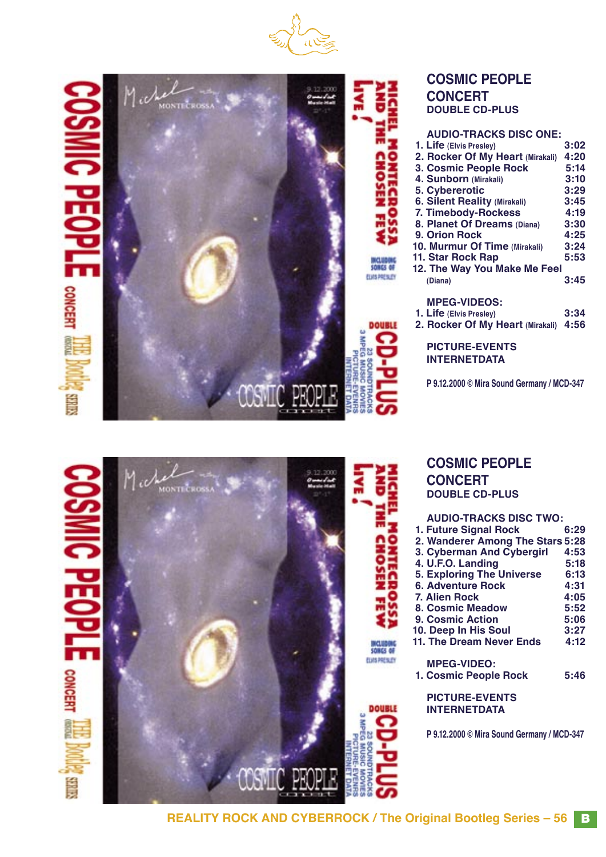





# **COSMIC PEOPLE CONCERT DOUBLE CD-PLUS**

| <b>AUDIO-TRACKS DISC ONE:</b>       |      |
|-------------------------------------|------|
| 1. Life (Elvis Presley)             | 3:02 |
| 2. Rocker Of My Heart (Mirakali)    | 4:20 |
| 3. Cosmic People Rock               | 5:14 |
| 4. Sunborn (Mirakali)               | 3:10 |
| 5. Cybererotic                      | 3:29 |
| <b>6. Silent Reality (Mirakali)</b> | 3:45 |
| 7. Timebody-Rockess                 | 4:19 |
| 8. Planet Of Dreams (Diana)         | 3:30 |
| 9. Orion Rock                       | 4:25 |
| 10. Murmur Of Time (Mirakali)       | 3:24 |
| 11. Star Rock Rap                   | 5:53 |
| 12. The Way You Make Me Feel        |      |
| (Diana)                             | 3:45 |
|                                     |      |
| <b>MPEG-VIDEOS:</b>                 |      |
| 1. Life (Elvis Presley)             | 3:34 |

 **2. Rocker Of My Heart (Mirakali) 4:56**

**PICTURE-EVENTS INTERNETDATA**

**P 9.12.2000 © Mira Sound Germany / MCD-347**







MALINDONE<br>Somes of **CURS PRESUDY** 

**DOUBLE** 

# **COSMIC PEOPLE CONCERT DOUBLE CD-PLUS**

| <b>AUDIO-TRACKS DISC TWO:</b>    |      |  |
|----------------------------------|------|--|
| 1. Future Signal Rock            | 6:29 |  |
| 2. Wanderer Among The Stars 5:28 |      |  |
| 3. Cyberman And Cybergirl        | 4:53 |  |
| 4. U.F.O. Landing                | 5:18 |  |
| <b>5. Exploring The Universe</b> | 6:13 |  |
| <b>6. Adventure Rock</b>         | 4:31 |  |
| <b>7. Alien Rock</b>             | 4:05 |  |
| <b>8. Cosmic Meadow</b>          | 5:52 |  |
| 9. Cosmic Action                 | 5:06 |  |
| 10. Deep In His Soul             | 3:27 |  |
| 11. The Dream Never Ends         | 4:12 |  |
| <b>MPEG-VIDEO:</b>               |      |  |
| 1. Cosmic People Rock            | 5:46 |  |
|                                  |      |  |

**PICTURE-EVENTS INTERNETDATA**

**P 9.12.2000 © Mira Sound Germany / MCD-347**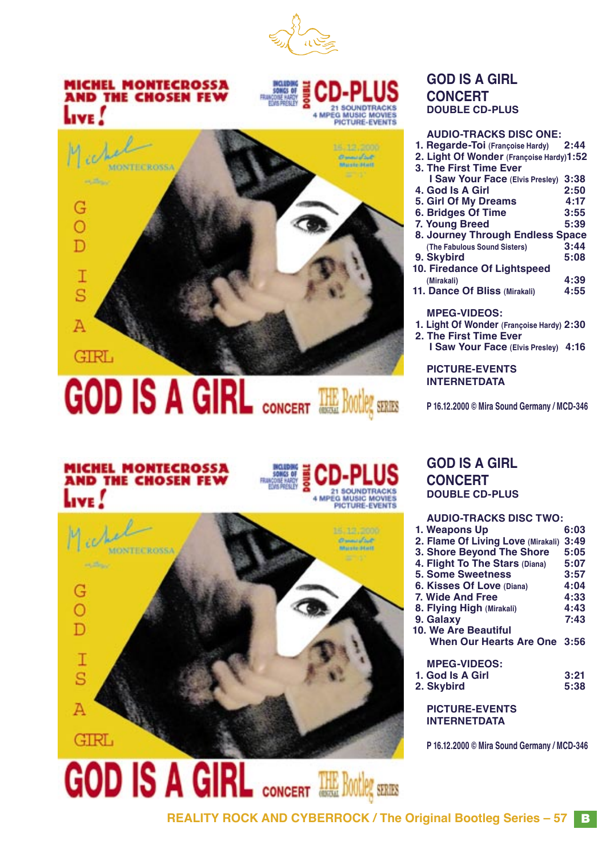

# **MICHEL MONTECROSSA AND THE CHOSEN FEW** Live





# **GOD IS A GIRL CONCERT THE BOOTLEY STRESS**

# **GOD IS A GIRL CONCERT DOUBLE CD-PLUS**

| <b>AUDIO-TRACKS DISC ONE:</b>               |      |
|---------------------------------------------|------|
| 1. Regarde-Toi (Françoise Hardy)            | 2:44 |
| 2. Light Of Wonder (Françoise Hardy)1:52    |      |
| 3. The First Time Ever                      |      |
| I Saw Your Face (Elvis Presley) 3:38        |      |
| 4. God Is A Girl                            | 2:50 |
| 5. Girl Of My Dreams                        | 4:17 |
| <b>6. Bridges Of Time</b>                   | 3:55 |
| 7. Young Breed                              | 5:39 |
| 8. Journey Through Endless Space            |      |
| (The Fabulous Sound Sisters)                | 3:44 |
| 9. Skybird                                  | 5:08 |
| 10. Firedance Of Lightspeed                 |      |
| (Mirakali)                                  | 4:39 |
| 11. Dance Of Bliss (Mirakali)               | 4:55 |
| <b>MPEG-VIDEOS:</b>                         |      |
| 1. Light Of Wonder (Françoise Hardy) 2:30   |      |
| 2. The First Time Ever                      |      |
|                                             |      |
| <b>I Saw Your Face (Elvis Presley) 4:16</b> |      |
| <b>PICTURE-EVENTS</b>                       |      |
| <b>INTERNETDATA</b>                         |      |
|                                             |      |

**P 16.12.2000 © Mira Sound Germany / MCD-346**

# **MICHEL MONTECROSSA<br>AND THE CHOSEN FEW**





# **GOD IS A GIRL CONCERT DOUBLE CD-PLUS**

#### **AUDIO-TRACKS DISC TWO: 1. Weapons Up 2. Flame Of Living Love (Mirakali) 3:49 3. Shore Beyond The Shore 5:05 4. Flight To The Stars (Diana) 5:07 5. Some Sweetness 3:57 6. Kisses Of Love (Diana) 4:04 7. Wide And Free 4:33 8. Flying High (Mirakali) 4:43 9. Galaxy 7:43 10. We Are Beautiful When Our Hearts Are One 3:56 MPEG-VIDEOS: 1. God Is A Girl 3:21**

 **2. Skybird 5:38**

**PICTURE-EVENTS INTERNETDATA**

**P 16.12.2000 © Mira Sound Germany / MCD-346**

GOD IS A GIRL CONCERT THE BOttley STARS